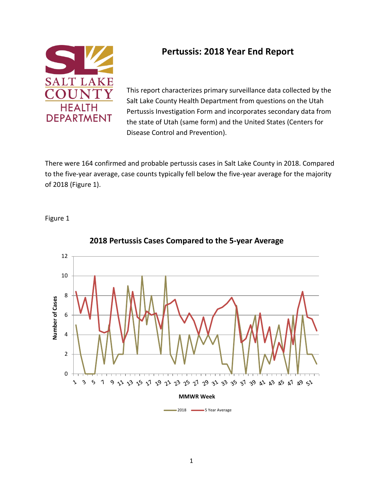

### **Pertussis: 2018 Year End Report**

This report characterizes primary surveillance data collected by the Salt Lake County Health Department from questions on the Utah Pertussis Investigation Form and incorporates secondary data from the state of Utah (same form) and the United States (Centers for Disease Control and Prevention).

There were 164 confirmed and probable pertussis cases in Salt Lake County in 2018. Compared to the five-year average, case counts typically fell below the five-year average for the majority of 2018 (Figure 1).

Figure 1



#### **2018 Pertussis Cases Compared to the 5-year Average**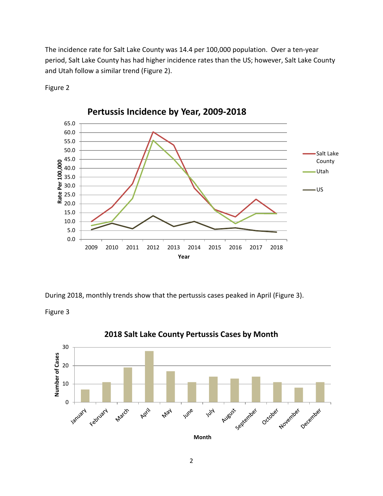The incidence rate for Salt Lake County was 14.4 per 100,000 population. Over a ten-year period, Salt Lake County has had higher incidence rates than the US; however, Salt Lake County and Utah follow a similar trend (Figure 2).



Figure 2

During 2018, monthly trends show that the pertussis cases peaked in April (Figure 3).

Figure 3



#### **2018 Salt Lake County Pertussis Cases by Month**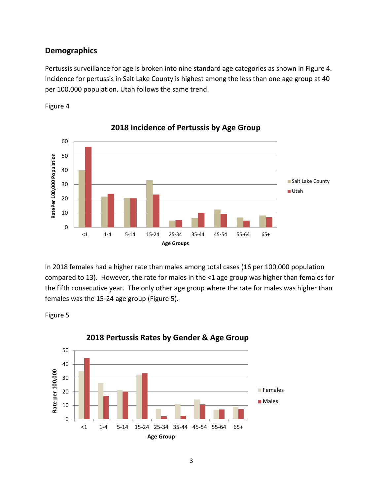#### **Demographics**

Pertussis surveillance for age is broken into nine standard age categories as shown in Figure 4. Incidence for pertussis in Salt Lake County is highest among the less than one age group at 40 per 100,000 population. Utah follows the same trend.





**2018 Incidence of Pertussis by Age Group**

In 2018 females had a higher rate than males among total cases (16 per 100,000 population compared to 13). However, the rate for males in the <1 age group was higher than females for the fifth consecutive year. The only other age group where the rate for males was higher than females was the 15-24 age group (Figure 5).

Figure 5



#### **2018 Pertussis Rates by Gender & Age Group**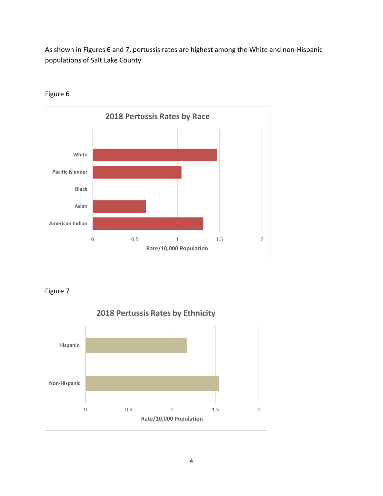As shown in Figures 6 and 7, pertussis rates are highest among the White and non-Hispanic populations of Salt Lake County.



Figure 6

Figure 7

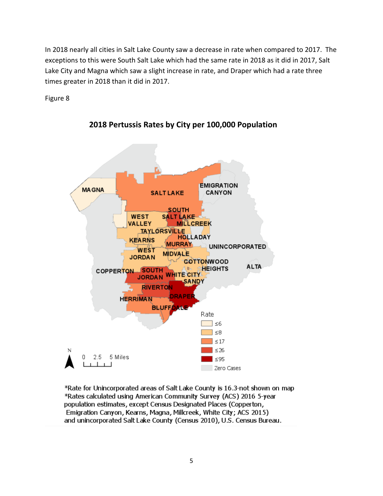In 2018 nearly all cities in Salt Lake County saw a decrease in rate when compared to 2017. The exceptions to this were South Salt Lake which had the same rate in 2018 as it did in 2017, Salt Lake City and Magna which saw a slight increase in rate, and Draper which had a rate three times greater in 2018 than it did in 2017.

Figure 8



**2018 Pertussis Rates by City per 100,000 Population**

\*Rate for Unincorporated areas of Salt Lake County is 16.3-not shown on map \*Rates calculated using American Community Survey (ACS) 2016 5-year population estimates, except Census Designated Places (Copperton, Emigration Canyon, Kearns, Magna, Millcreek, White City; ACS 2015) and unincorporated Salt Lake County (Census 2010), U.S. Census Bureau.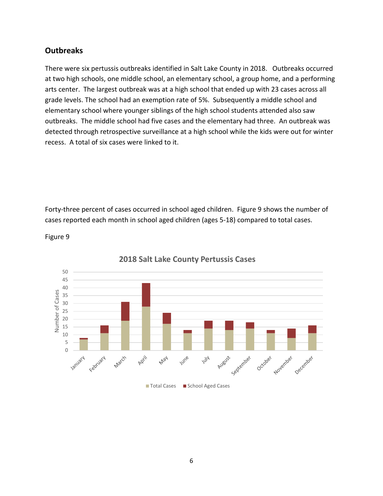#### **Outbreaks**

There were six pertussis outbreaks identified in Salt Lake County in 2018. Outbreaks occurred at two high schools, one middle school, an elementary school, a group home, and a performing arts center. The largest outbreak was at a high school that ended up with 23 cases across all grade levels. The school had an exemption rate of 5%. Subsequently a middle school and elementary school where younger siblings of the high school students attended also saw outbreaks. The middle school had five cases and the elementary had three. An outbreak was detected through retrospective surveillance at a high school while the kids were out for winter recess. A total of six cases were linked to it.

Forty-three percent of cases occurred in school aged children. Figure 9 shows the number of cases reported each month in school aged children (ages 5-18) compared to total cases.



Figure 9

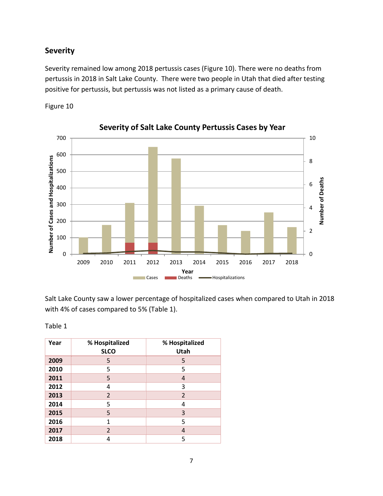#### **Severity**

Severity remained low among 2018 pertussis cases (Figure 10). There were no deaths from pertussis in 2018 in Salt Lake County. There were two people in Utah that died after testing positive for pertussis, but pertussis was not listed as a primary cause of death.

Figure 10



**Severity of Salt Lake County Pertussis Cases by Year**

Salt Lake County saw a lower percentage of hospitalized cases when compared to Utah in 2018 with 4% of cases compared to 5% (Table 1).

| abi |  |  |
|-----|--|--|
|-----|--|--|

| Year | % Hospitalized<br><b>SLCO</b> | % Hospitalized<br>Utah |
|------|-------------------------------|------------------------|
| 2009 | 5                             | 5                      |
| 2010 | 5                             | 5                      |
| 2011 | 5                             | 4                      |
| 2012 | 4                             | 3                      |
| 2013 | $\overline{2}$                | $\overline{2}$         |
| 2014 | 5                             | 4                      |
| 2015 | 5                             | 3                      |
| 2016 | 1                             | 5                      |
| 2017 | 2                             | 4                      |
| 2018 | 4                             | 5                      |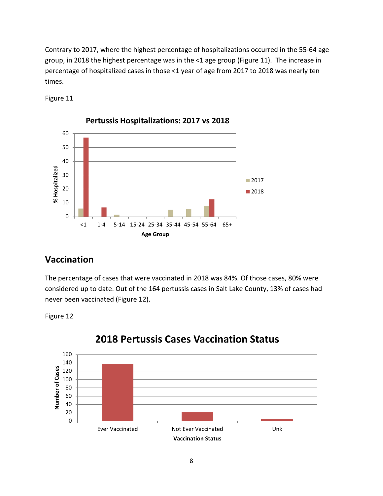Contrary to 2017, where the highest percentage of hospitalizations occurred in the 55-64 age group, in 2018 the highest percentage was in the <1 age group (Figure 11). The increase in percentage of hospitalized cases in those <1 year of age from 2017 to 2018 was nearly ten times.





**Pertussis Hospitalizations: 2017 vs 2018**

# **Vaccination**

The percentage of cases that were vaccinated in 2018 was 84%. Of those cases, 80% were considered up to date. Out of the 164 pertussis cases in Salt Lake County, 13% of cases had never been vaccinated (Figure 12).





# **2018 Pertussis Cases Vaccination Status**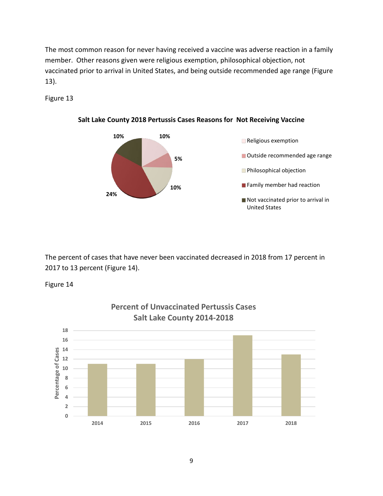The most common reason for never having received a vaccine was adverse reaction in a family member. Other reasons given were religious exemption, philosophical objection, not vaccinated prior to arrival in United States, and being outside recommended age range (Figure 13).

Figure 13



**Salt Lake County 2018 Pertussis Cases Reasons for Not Receiving Vaccine**

The percent of cases that have never been vaccinated decreased in 2018 from 17 percent in 2017 to 13 percent (Figure 14).

Figure 14



# **Percent of Unvaccinated Pertussis Cases**